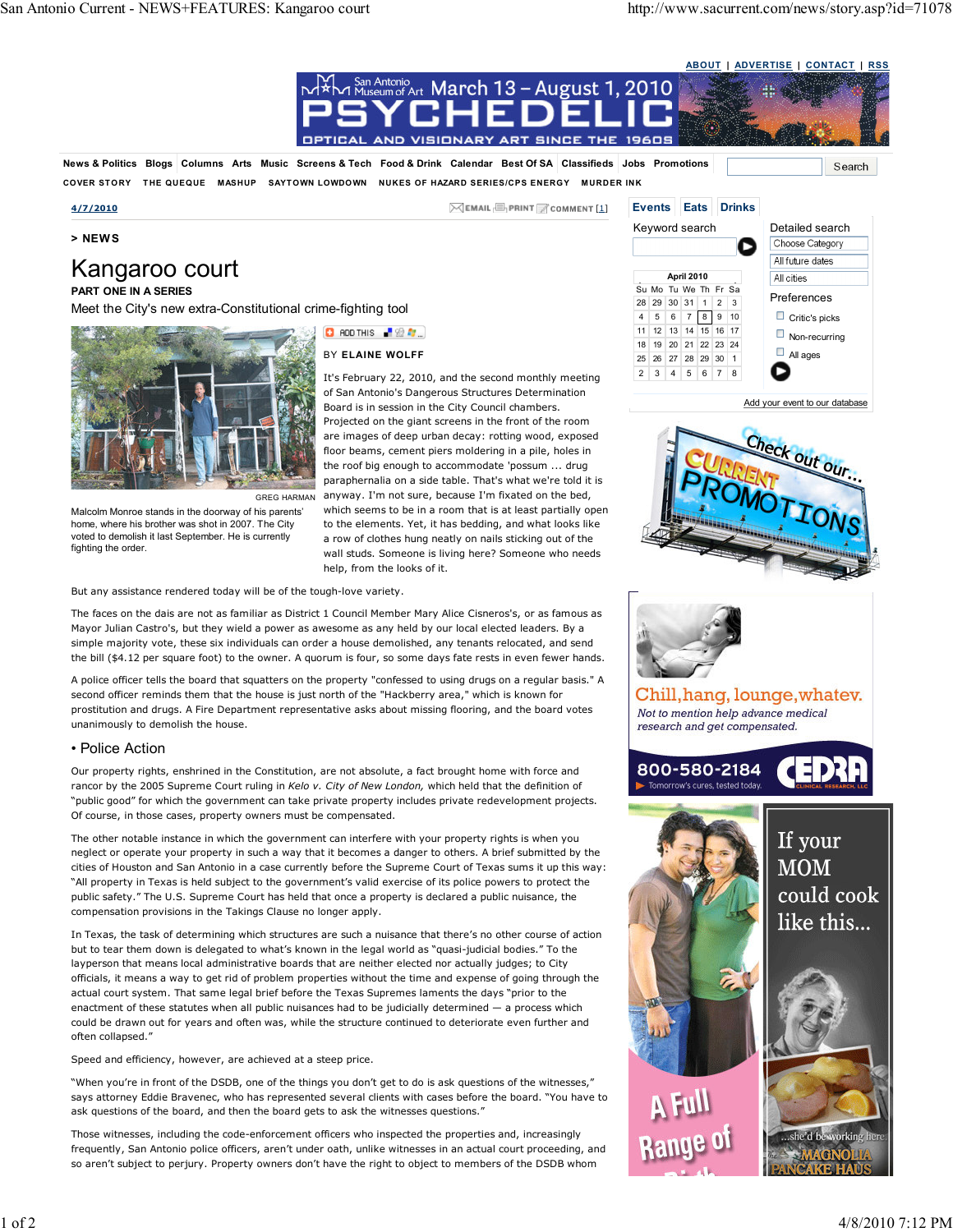### ABOUT | ADVERTISE | CONTACT | RSS



Our property rights, enshrined in the Constitution, are not absolute, a fact brought home with force and rancor by the 2005 Supreme Court ruling in Kelo v. City of New London, which held that the definition of "public good" for which the government can take private property includes private redevelopment projects. Of course, in those cases, property owners must be compensated.

The other notable instance in which the government can interfere with your property rights is when you neglect or operate your property in such a way that it becomes a danger to others. A brief submitted by the cities of Houston and San Antonio in a case currently before the Supreme Court of Texas sums it up this way: "All property in Texas is held subject to the government's valid exercise of its police powers to protect the public safety." The U.S. Supreme Court has held that once a property is declared a public nuisance, the compensation provisions in the Takings Clause no longer apply.

In Texas, the task of determining which structures are such a nuisance that there's no other course of action but to tear them down is delegated to what's known in the legal world as "quasi-judicial bodies." To the layperson that means local administrative boards that are neither elected nor actually judges; to City officials, it means a way to get rid of problem properties without the time and expense of going through the actual court system. That same legal brief before the Texas Supremes laments the days "prior to the enactment of these statutes when all public nuisances had to be judicially determined — a process which could be drawn out for years and often was, while the structure continued to deteriorate even further and often collapsed."

Speed and efficiency, however, are achieved at a steep price.

"When you're in front of the DSDB, one of the things you don't get to do is ask questions of the witnesses," says attorney Eddie Bravenec, who has represented several clients with cases before the board. "You have to ask questions of the board, and then the board gets to ask the witnesses questions."

Those witnesses, including the code-enforcement officers who inspected the properties and, increasingly frequently, San Antonio police officers, aren't under oath, unlike witnesses in an actual court proceeding, and so aren't subject to perjury. Property owners don't have the right to object to members of the DSDB whom